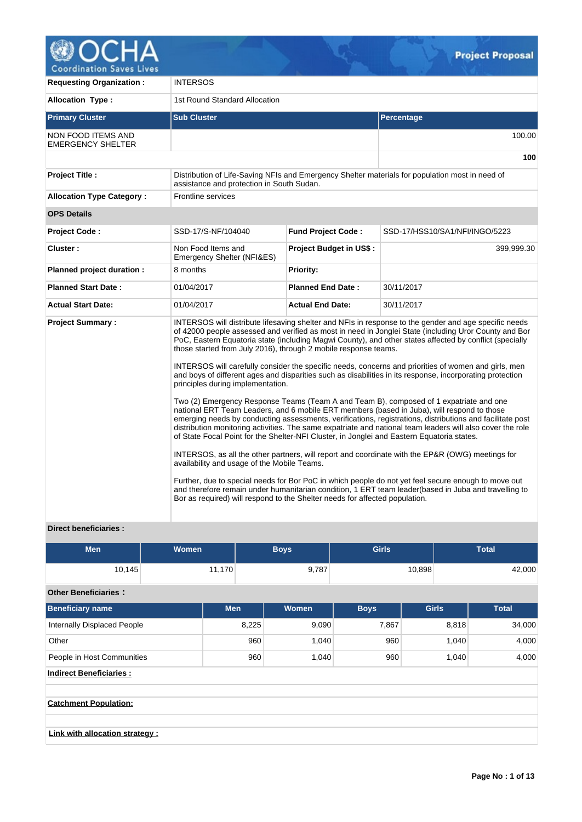

V.

| <b>Requesting Organization:</b>                | <b>INTERSOS</b>                                                                                                                                                                                                                                                                                                                  |                                |                                                                                                                                                                                                                                                                                                                                                                                                                                                                                                                                                                                                                                                                                                                                                                                                                                                                                                                                                                                                                                                                                                                                                                                                                                                                                      |  |  |
|------------------------------------------------|----------------------------------------------------------------------------------------------------------------------------------------------------------------------------------------------------------------------------------------------------------------------------------------------------------------------------------|--------------------------------|--------------------------------------------------------------------------------------------------------------------------------------------------------------------------------------------------------------------------------------------------------------------------------------------------------------------------------------------------------------------------------------------------------------------------------------------------------------------------------------------------------------------------------------------------------------------------------------------------------------------------------------------------------------------------------------------------------------------------------------------------------------------------------------------------------------------------------------------------------------------------------------------------------------------------------------------------------------------------------------------------------------------------------------------------------------------------------------------------------------------------------------------------------------------------------------------------------------------------------------------------------------------------------------|--|--|
| <b>Allocation Type:</b>                        | 1st Round Standard Allocation                                                                                                                                                                                                                                                                                                    |                                |                                                                                                                                                                                                                                                                                                                                                                                                                                                                                                                                                                                                                                                                                                                                                                                                                                                                                                                                                                                                                                                                                                                                                                                                                                                                                      |  |  |
| <b>Primary Cluster</b>                         | <b>Sub Cluster</b>                                                                                                                                                                                                                                                                                                               |                                | Percentage                                                                                                                                                                                                                                                                                                                                                                                                                                                                                                                                                                                                                                                                                                                                                                                                                                                                                                                                                                                                                                                                                                                                                                                                                                                                           |  |  |
| NON FOOD ITEMS AND<br><b>EMERGENCY SHELTER</b> |                                                                                                                                                                                                                                                                                                                                  |                                | 100.00                                                                                                                                                                                                                                                                                                                                                                                                                                                                                                                                                                                                                                                                                                                                                                                                                                                                                                                                                                                                                                                                                                                                                                                                                                                                               |  |  |
|                                                |                                                                                                                                                                                                                                                                                                                                  |                                | 100                                                                                                                                                                                                                                                                                                                                                                                                                                                                                                                                                                                                                                                                                                                                                                                                                                                                                                                                                                                                                                                                                                                                                                                                                                                                                  |  |  |
| <b>Project Title:</b>                          | assistance and protection in South Sudan.                                                                                                                                                                                                                                                                                        |                                | Distribution of Life-Saving NFIs and Emergency Shelter materials for population most in need of                                                                                                                                                                                                                                                                                                                                                                                                                                                                                                                                                                                                                                                                                                                                                                                                                                                                                                                                                                                                                                                                                                                                                                                      |  |  |
| <b>Allocation Type Category:</b>               | <b>Frontline services</b>                                                                                                                                                                                                                                                                                                        |                                |                                                                                                                                                                                                                                                                                                                                                                                                                                                                                                                                                                                                                                                                                                                                                                                                                                                                                                                                                                                                                                                                                                                                                                                                                                                                                      |  |  |
| <b>OPS Details</b>                             |                                                                                                                                                                                                                                                                                                                                  |                                |                                                                                                                                                                                                                                                                                                                                                                                                                                                                                                                                                                                                                                                                                                                                                                                                                                                                                                                                                                                                                                                                                                                                                                                                                                                                                      |  |  |
| <b>Project Code:</b>                           | SSD-17/S-NF/104040                                                                                                                                                                                                                                                                                                               | <b>Fund Project Code:</b>      | SSD-17/HSS10/SA1/NFI/INGO/5223                                                                                                                                                                                                                                                                                                                                                                                                                                                                                                                                                                                                                                                                                                                                                                                                                                                                                                                                                                                                                                                                                                                                                                                                                                                       |  |  |
| Cluster:                                       | Non Food Items and<br>Emergency Shelter (NFI&ES)                                                                                                                                                                                                                                                                                 | <b>Project Budget in US\$:</b> | 399,999.30                                                                                                                                                                                                                                                                                                                                                                                                                                                                                                                                                                                                                                                                                                                                                                                                                                                                                                                                                                                                                                                                                                                                                                                                                                                                           |  |  |
| Planned project duration :                     | 8 months                                                                                                                                                                                                                                                                                                                         | Priority:                      |                                                                                                                                                                                                                                                                                                                                                                                                                                                                                                                                                                                                                                                                                                                                                                                                                                                                                                                                                                                                                                                                                                                                                                                                                                                                                      |  |  |
| <b>Planned Start Date:</b>                     | 01/04/2017                                                                                                                                                                                                                                                                                                                       | <b>Planned End Date:</b>       | 30/11/2017                                                                                                                                                                                                                                                                                                                                                                                                                                                                                                                                                                                                                                                                                                                                                                                                                                                                                                                                                                                                                                                                                                                                                                                                                                                                           |  |  |
| <b>Actual Start Date:</b>                      | 01/04/2017                                                                                                                                                                                                                                                                                                                       | <b>Actual End Date:</b>        | 30/11/2017                                                                                                                                                                                                                                                                                                                                                                                                                                                                                                                                                                                                                                                                                                                                                                                                                                                                                                                                                                                                                                                                                                                                                                                                                                                                           |  |  |
| <b>Project Summary:</b>                        | those started from July 2016), through 2 mobile response teams.<br>principles during implementation.<br>of State Focal Point for the Shelter-NFI Cluster, in Jonglei and Eastern Equatoria states.<br>availability and usage of the Mobile Teams.<br>Bor as required) will respond to the Shelter needs for affected population. |                                | INTERSOS will distribute lifesaving shelter and NFIs in response to the gender and age specific needs<br>of 42000 people assessed and verified as most in need in Jonglei State (including Uror County and Bor<br>PoC, Eastern Equatoria state (including Magwi County), and other states affected by conflict (specially<br>INTERSOS will carefully consider the specific needs, concerns and priorities of women and girls, men<br>and boys of different ages and disparities such as disabilities in its response, incorporating protection<br>Two (2) Emergency Response Teams (Team A and Team B), composed of 1 expatriate and one<br>national ERT Team Leaders, and 6 mobile ERT members (based in Juba), will respond to those<br>emerging needs by conducting assessments, verifications, registrations, distributions and facilitate post<br>distribution monitoring activities. The same expatriate and national team leaders will also cover the role<br>INTERSOS, as all the other partners, will report and coordinate with the EP&R (OWG) meetings for<br>Further, due to special needs for Bor PoC in which people do not yet feel secure enough to move out<br>and therefore remain under humanitarian condition, 1 ERT team leader(based in Juba and travelling to |  |  |

# **Direct beneficiaries :**

| Men    | <b>Women</b> | <b>Boys</b> | <b>Girls</b> | <b>Total</b> |
|--------|--------------|-------------|--------------|--------------|
| 10,145 | 11,170       | 9,787       | 10,898       | 42,000       |

# **Other Beneficiaries :**

| <b>UNIU DUNUNUKIUS</b>             |            |              |             |              |              |
|------------------------------------|------------|--------------|-------------|--------------|--------------|
| Beneficiary name                   | <b>Men</b> | <b>Women</b> | <b>Boys</b> | <b>Girls</b> | <b>Total</b> |
| <b>Internally Displaced People</b> | 8,225      | 9,090        | 7,867       | 8,818        | 34,000       |
| Other                              | 960        | 1,040        | 960         | 1,040        | 4,000        |
| People in Host Communities         | 960        | 1,040        | 960         | 1,040        | 4,000        |
| <b>Indirect Beneficiaries:</b>     |            |              |             |              |              |
|                                    |            |              |             |              |              |
| <b>Catchment Population:</b>       |            |              |             |              |              |
|                                    |            |              |             |              |              |
| Link with allocation strategy:     |            |              |             |              |              |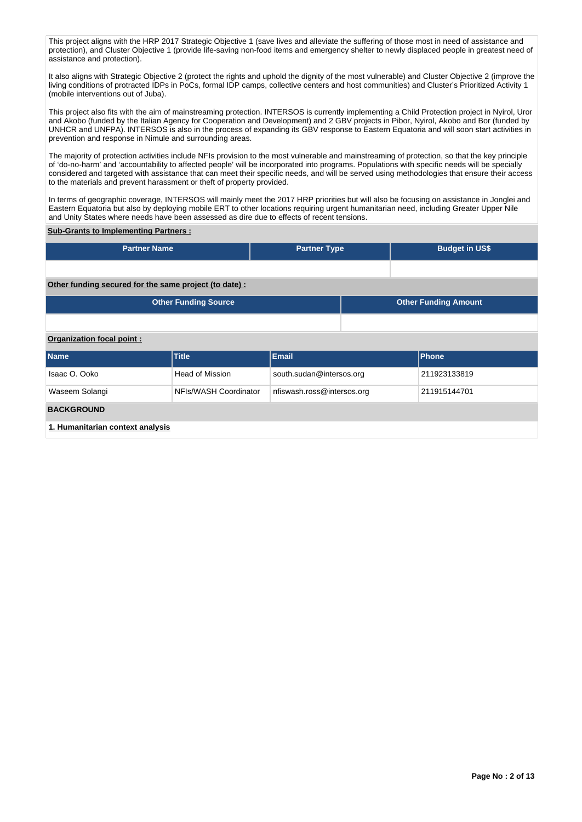This project aligns with the HRP 2017 Strategic Objective 1 (save lives and alleviate the suffering of those most in need of assistance and protection), and Cluster Objective 1 (provide life-saving non-food items and emergency shelter to newly displaced people in greatest need of assistance and protection).

It also aligns with Strategic Objective 2 (protect the rights and uphold the dignity of the most vulnerable) and Cluster Objective 2 (improve the living conditions of protracted IDPs in PoCs, formal IDP camps, collective centers and host communities) and Cluster's Prioritized Activity 1 (mobile interventions out of Juba).

This project also fits with the aim of mainstreaming protection. INTERSOS is currently implementing a Child Protection project in Nyirol, Uror and Akobo (funded by the Italian Agency for Cooperation and Development) and 2 GBV projects in Pibor, Nyirol, Akobo and Bor (funded by UNHCR and UNFPA). INTERSOS is also in the process of expanding its GBV response to Eastern Equatoria and will soon start activities in prevention and response in Nimule and surrounding areas.

The majority of protection activities include NFIs provision to the most vulnerable and mainstreaming of protection, so that the key principle of 'do-no-harm' and 'accountability to affected people' will be incorporated into programs. Populations with specific needs will be specially considered and targeted with assistance that can meet their specific needs, and will be served using methodologies that ensure their access to the materials and prevent harassment or theft of property provided.

In terms of geographic coverage, INTERSOS will mainly meet the 2017 HRP priorities but will also be focusing on assistance in Jonglei and Eastern Equatoria but also by deploying mobile ERT to other locations requiring urgent humanitarian need, including Greater Upper Nile and Unity States where needs have been assessed as dire due to effects of recent tensions.

## **Sub-Grants to Implementing Partners :**

| <b>Partner Name</b>       |                                                        | <b>Partner Type</b>        |  | <b>Budget in US\$</b>       |  |  |  |  |  |
|---------------------------|--------------------------------------------------------|----------------------------|--|-----------------------------|--|--|--|--|--|
|                           |                                                        |                            |  |                             |  |  |  |  |  |
|                           | Other funding secured for the same project (to date) : |                            |  |                             |  |  |  |  |  |
|                           | <b>Other Funding Source</b>                            |                            |  | <b>Other Funding Amount</b> |  |  |  |  |  |
|                           |                                                        |                            |  |                             |  |  |  |  |  |
| Organization focal point: |                                                        |                            |  |                             |  |  |  |  |  |
| <b>Name</b>               | <b>Title</b>                                           | Email                      |  | Phone                       |  |  |  |  |  |
| Isaac O. Ooko             | <b>Head of Mission</b>                                 | south.sudan@intersos.org   |  | 211923133819                |  |  |  |  |  |
| Waseem Solangi            | NFIs/WASH Coordinator                                  | nfiswash.ross@intersos.org |  | 211915144701                |  |  |  |  |  |
| <b>BACKGROUND</b>         |                                                        |                            |  |                             |  |  |  |  |  |
|                           |                                                        |                            |  |                             |  |  |  |  |  |

**1. Humanitarian context analysis**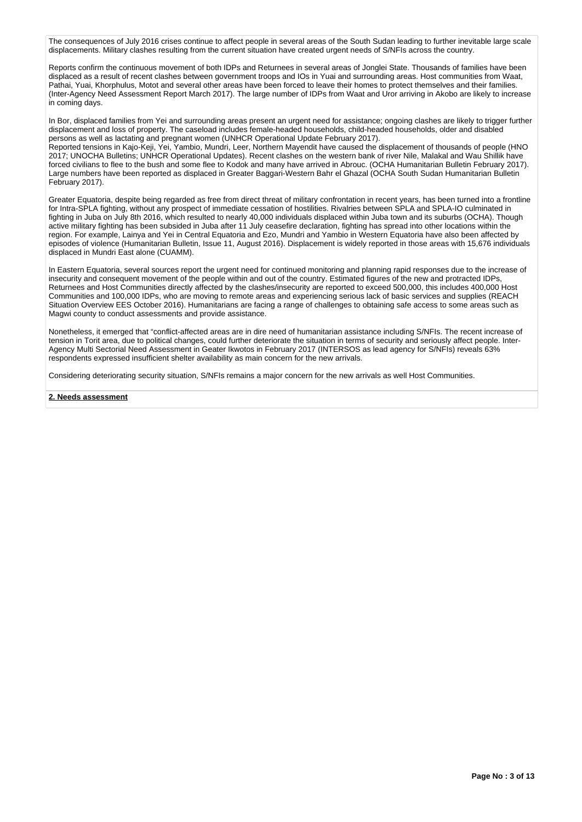The consequences of July 2016 crises continue to affect people in several areas of the South Sudan leading to further inevitable large scale displacements. Military clashes resulting from the current situation have created urgent needs of S/NFIs across the country.

Reports confirm the continuous movement of both IDPs and Returnees in several areas of Jonglei State. Thousands of families have been displaced as a result of recent clashes between government troops and IOs in Yuai and surrounding areas. Host communities from Waat, Pathai, Yuai, Khorphulus, Motot and several other areas have been forced to leave their homes to protect themselves and their families. (Inter-Agency Need Assessment Report March 2017). The large number of IDPs from Waat and Uror arriving in Akobo are likely to increase in coming days.

In Bor, displaced families from Yei and surrounding areas present an urgent need for assistance; ongoing clashes are likely to trigger further displacement and loss of property. The caseload includes female-headed households, child-headed households, older and disabled persons as well as lactating and pregnant women (UNHCR Operational Update February 2017).

Reported tensions in Kajo-Keji, Yei, Yambio, Mundri, Leer, Northern Mayendit have caused the displacement of thousands of people (HNO 2017; UNOCHA Bulletins; UNHCR Operational Updates). Recent clashes on the western bank of river Nile, Malakal and Wau Shillik have forced civilians to flee to the bush and some flee to Kodok and many have arrived in Abrouc. (OCHA Humanitarian Bulletin February 2017). Large numbers have been reported as displaced in Greater Baggari-Western Bahr el Ghazal (OCHA South Sudan Humanitarian Bulletin February 2017).

Greater Equatoria, despite being regarded as free from direct threat of military confrontation in recent years, has been turned into a frontline for Intra-SPLA fighting, without any prospect of immediate cessation of hostilities. Rivalries between SPLA and SPLA-IO culminated in fighting in Juba on July 8th 2016, which resulted to nearly 40,000 individuals displaced within Juba town and its suburbs (OCHA). Though active military fighting has been subsided in Juba after 11 July ceasefire declaration, fighting has spread into other locations within the region. For example, Lainya and Yei in Central Equatoria and Ezo, Mundri and Yambio in Western Equatoria have also been affected by episodes of violence (Humanitarian Bulletin, Issue 11, August 2016). Displacement is widely reported in those areas with 15,676 individuals displaced in Mundri East alone (CUAMM).

In Eastern Equatoria, several sources report the urgent need for continued monitoring and planning rapid responses due to the increase of insecurity and consequent movement of the people within and out of the country. Estimated figures of the new and protracted IDPs, Returnees and Host Communities directly affected by the clashes/insecurity are reported to exceed 500,000, this includes 400,000 Host Communities and 100,000 IDPs, who are moving to remote areas and experiencing serious lack of basic services and supplies (REACH Situation Overview EES October 2016). Humanitarians are facing a range of challenges to obtaining safe access to some areas such as Magwi county to conduct assessments and provide assistance.

Nonetheless, it emerged that "conflict-affected areas are in dire need of humanitarian assistance including S/NFIs. The recent increase of tension in Torit area, due to political changes, could further deteriorate the situation in terms of security and seriously affect people. Inter-Agency Multi Sectorial Need Assessment in Geater Ikwotos in February 2017 (INTERSOS as lead agency for S/NFIs) reveals 63% respondents expressed insufficient shelter availability as main concern for the new arrivals.

Considering deteriorating security situation, S/NFIs remains a major concern for the new arrivals as well Host Communities.

#### **2. Needs assessment**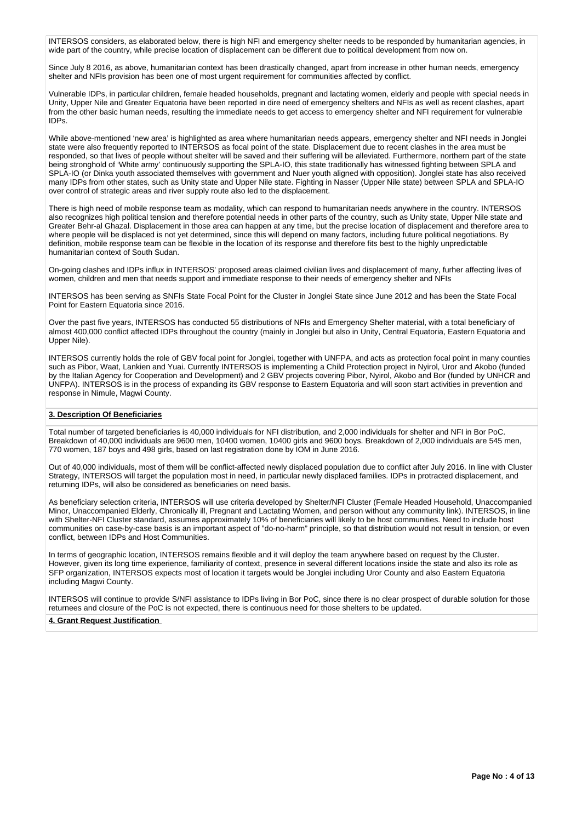INTERSOS considers, as elaborated below, there is high NFI and emergency shelter needs to be responded by humanitarian agencies, in wide part of the country, while precise location of displacement can be different due to political development from now on.

Since July 8 2016, as above, humanitarian context has been drastically changed, apart from increase in other human needs, emergency shelter and NFIs provision has been one of most urgent requirement for communities affected by conflict.

Vulnerable IDPs, in particular children, female headed households, pregnant and lactating women, elderly and people with special needs in Unity, Upper Nile and Greater Equatoria have been reported in dire need of emergency shelters and NFIs as well as recent clashes, apart from the other basic human needs, resulting the immediate needs to get access to emergency shelter and NFI requirement for vulnerable IDPs.

While above-mentioned 'new area' is highlighted as area where humanitarian needs appears, emergency shelter and NFI needs in Jonglei state were also frequently reported to INTERSOS as focal point of the state. Displacement due to recent clashes in the area must be responded, so that lives of people without shelter will be saved and their suffering will be alleviated. Furthermore, northern part of the state being stronghold of 'White army' continuously supporting the SPLA-IO, this state traditionally has witnessed fighting between SPLA and SPLA-IO (or Dinka youth associated themselves with government and Nuer youth aligned with opposition). Jonglei state has also received many IDPs from other states, such as Unity state and Upper Nile state. Fighting in Nasser (Upper Nile state) between SPLA and SPLA-IO over control of strategic areas and river supply route also led to the displacement.

There is high need of mobile response team as modality, which can respond to humanitarian needs anywhere in the country. INTERSOS also recognizes high political tension and therefore potential needs in other parts of the country, such as Unity state, Upper Nile state and Greater Behr-al Ghazal. Displacement in those area can happen at any time, but the precise location of displacement and therefore area to where people will be displaced is not yet determined, since this will depend on many factors, including future political negotiations. By definition, mobile response team can be flexible in the location of its response and therefore fits best to the highly unpredictable humanitarian context of South Sudan.

On-going clashes and IDPs influx in INTERSOS' proposed areas claimed civilian lives and displacement of many, furher affecting lives of women, children and men that needs support and immediate response to their needs of emergency shelter and NFIs

INTERSOS has been serving as SNFIs State Focal Point for the Cluster in Jonglei State since June 2012 and has been the State Focal Point for Eastern Equatoria since 2016.

Over the past five years, INTERSOS has conducted 55 distributions of NFIs and Emergency Shelter material, with a total beneficiary of almost 400,000 conflict affected IDPs throughout the country (mainly in Jonglei but also in Unity, Central Equatoria, Eastern Equatoria and Upper Nile).

INTERSOS currently holds the role of GBV focal point for Jonglei, together with UNFPA, and acts as protection focal point in many counties such as Pibor, Waat, Lankien and Yuai. Currently INTERSOS is implementing a Child Protection project in Nyirol, Uror and Akobo (funded by the Italian Agency for Cooperation and Development) and 2 GBV projects covering Pibor, Nyirol, Akobo and Bor (funded by UNHCR and UNFPA). INTERSOS is in the process of expanding its GBV response to Eastern Equatoria and will soon start activities in prevention and response in Nimule, Magwi County.

## **3. Description Of Beneficiaries**

Total number of targeted beneficiaries is 40,000 individuals for NFI distribution, and 2,000 individuals for shelter and NFI in Bor PoC. Breakdown of 40,000 individuals are 9600 men, 10400 women, 10400 girls and 9600 boys. Breakdown of 2,000 individuals are 545 men, 770 women, 187 boys and 498 girls, based on last registration done by IOM in June 2016.

Out of 40,000 individuals, most of them will be conflict-affected newly displaced population due to conflict after July 2016. In line with Cluster Strategy, INTERSOS will target the population most in need, in particular newly displaced families. IDPs in protracted displacement, and returning IDPs, will also be considered as beneficiaries on need basis.

As beneficiary selection criteria, INTERSOS will use criteria developed by Shelter/NFI Cluster (Female Headed Household, Unaccompanied Minor, Unaccompanied Elderly, Chronically ill, Pregnant and Lactating Women, and person without any community link). INTERSOS, in line with Shelter-NFI Cluster standard, assumes approximately 10% of beneficiaries will likely to be host communities. Need to include host communities on case-by-case basis is an important aspect of "do-no-harm" principle, so that distribution would not result in tension, or even conflict, between IDPs and Host Communities.

In terms of geographic location, INTERSOS remains flexible and it will deploy the team anywhere based on request by the Cluster. However, given its long time experience, familiarity of context, presence in several different locations inside the state and also its role as SFP organization, INTERSOS expects most of location it targets would be Jonglei including Uror County and also Eastern Equatoria including Magwi County.

INTERSOS will continue to provide S/NFI assistance to IDPs living in Bor PoC, since there is no clear prospect of durable solution for those returnees and closure of the PoC is not expected, there is continuous need for those shelters to be updated.

## **4. Grant Request Justification**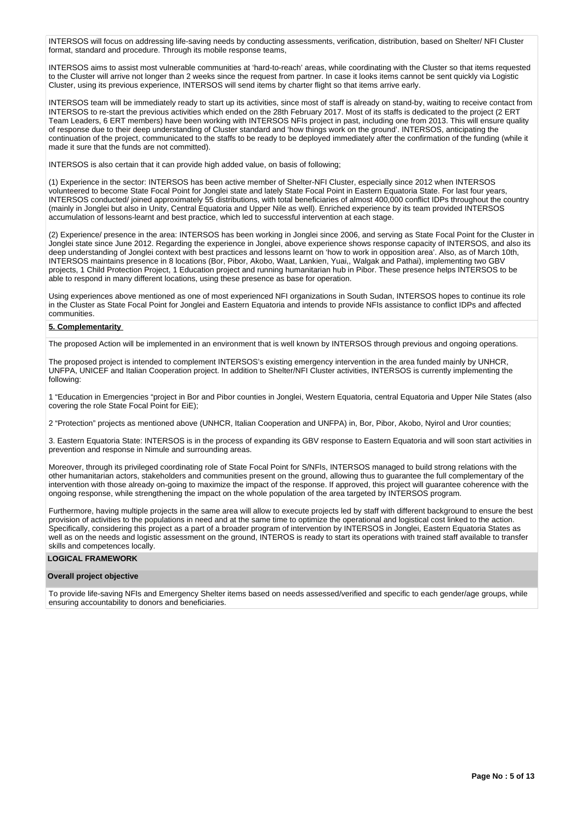INTERSOS will focus on addressing life-saving needs by conducting assessments, verification, distribution, based on Shelter/ NFI Cluster format, standard and procedure. Through its mobile response teams,

INTERSOS aims to assist most vulnerable communities at 'hard-to-reach' areas, while coordinating with the Cluster so that items requested to the Cluster will arrive not longer than 2 weeks since the request from partner. In case it looks items cannot be sent quickly via Logistic Cluster, using its previous experience, INTERSOS will send items by charter flight so that items arrive early.

INTERSOS team will be immediately ready to start up its activities, since most of staff is already on stand-by, waiting to receive contact from INTERSOS to re-start the previous activities which ended on the 28th February 2017. Most of its staffs is dedicated to the project (2 ERT Team Leaders, 6 ERT members) have been working with INTERSOS NFIs project in past, including one from 2013. This will ensure quality of response due to their deep understanding of Cluster standard and 'how things work on the ground'. INTERSOS, anticipating the continuation of the project, communicated to the staffs to be ready to be deployed immediately after the confirmation of the funding (while it made it sure that the funds are not committed).

INTERSOS is also certain that it can provide high added value, on basis of following;

(1) Experience in the sector: INTERSOS has been active member of Shelter-NFI Cluster, especially since 2012 when INTERSOS volunteered to become State Focal Point for Jonglei state and lately State Focal Point in Eastern Equatoria State. For last four years, INTERSOS conducted/ joined approximately 55 distributions, with total beneficiaries of almost 400,000 conflict IDPs throughout the country (mainly in Jonglei but also in Unity, Central Equatoria and Upper Nile as well). Enriched experience by its team provided INTERSOS accumulation of lessons-learnt and best practice, which led to successful intervention at each stage.

(2) Experience/ presence in the area: INTERSOS has been working in Jonglei since 2006, and serving as State Focal Point for the Cluster in Jonglei state since June 2012. Regarding the experience in Jonglei, above experience shows response capacity of INTERSOS, and also its deep understanding of Jonglei context with best practices and lessons learnt on 'how to work in opposition area'. Also, as of March 10th, INTERSOS maintains presence in 8 locations (Bor, Pibor, Akobo, Waat, Lankien, Yuai,, Walgak and Pathai), implementing two GBV projects, 1 Child Protection Project, 1 Education project and running humanitarian hub in Pibor. These presence helps INTERSOS to be able to respond in many different locations, using these presence as base for operation.

Using experiences above mentioned as one of most experienced NFI organizations in South Sudan, INTERSOS hopes to continue its role in the Cluster as State Focal Point for Jonglei and Eastern Equatoria and intends to provide NFIs assistance to conflict IDPs and affected communities.

## **5. Complementarity**

The proposed Action will be implemented in an environment that is well known by INTERSOS through previous and ongoing operations.

The proposed project is intended to complement INTERSOS's existing emergency intervention in the area funded mainly by UNHCR, UNFPA, UNICEF and Italian Cooperation project. In addition to Shelter/NFI Cluster activities, INTERSOS is currently implementing the following:

1 "Education in Emergencies "project in Bor and Pibor counties in Jonglei, Western Equatoria, central Equatoria and Upper Nile States (also covering the role State Focal Point for EiE);

2 "Protection" projects as mentioned above (UNHCR, Italian Cooperation and UNFPA) in, Bor, Pibor, Akobo, Nyirol and Uror counties;

3. Eastern Equatoria State: INTERSOS is in the process of expanding its GBV response to Eastern Equatoria and will soon start activities in prevention and response in Nimule and surrounding areas.

Moreover, through its privileged coordinating role of State Focal Point for S/NFIs, INTERSOS managed to build strong relations with the other humanitarian actors, stakeholders and communities present on the ground, allowing thus to guarantee the full complementary of the intervention with those already on-going to maximize the impact of the response. If approved, this project will guarantee coherence with the ongoing response, while strengthening the impact on the whole population of the area targeted by INTERSOS program.

Furthermore, having multiple projects in the same area will allow to execute projects led by staff with different background to ensure the best provision of activities to the populations in need and at the same time to optimize the operational and logistical cost linked to the action. Specifically, considering this project as a part of a broader program of intervention by INTERSOS in Jonglei, Eastern Equatoria States as well as on the needs and logistic assessment on the ground, INTEROS is ready to start its operations with trained staff available to transfer skills and competences locally.

#### **LOGICAL FRAMEWORK**

#### **Overall project objective**

To provide life-saving NFIs and Emergency Shelter items based on needs assessed/verified and specific to each gender/age groups, while ensuring accountability to donors and beneficiaries.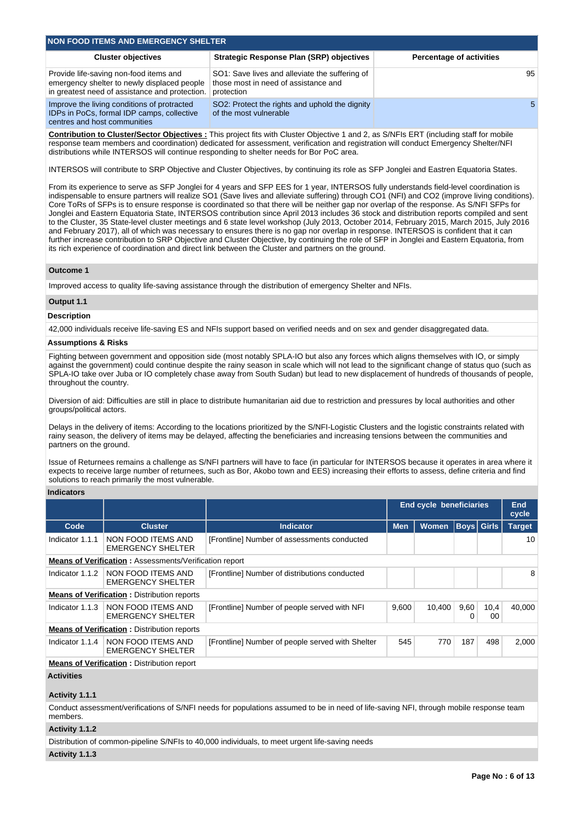| <b>NON FOOD ITEMS AND EMERGENCY SHELTER</b>                                                                                             |                                                                                                      |                                 |  |  |  |  |  |
|-----------------------------------------------------------------------------------------------------------------------------------------|------------------------------------------------------------------------------------------------------|---------------------------------|--|--|--|--|--|
| <b>Cluster objectives</b>                                                                                                               | <b>Strategic Response Plan (SRP) objectives</b>                                                      | <b>Percentage of activities</b> |  |  |  |  |  |
| Provide life-saving non-food items and<br>emergency shelter to newly displaced people<br>in greatest need of assistance and protection. | SO1: Save lives and alleviate the suffering of<br>those most in need of assistance and<br>protection | 95                              |  |  |  |  |  |
| Improve the living conditions of protracted<br>IDPs in PoCs, formal IDP camps, collective                                               | SO2: Protect the rights and uphold the dignity<br>of the most vulnerable                             | -5                              |  |  |  |  |  |

**Contribution to Cluster/Sector Objectives :** This project fits with Cluster Objective 1 and 2, as S/NFIs ERT (including staff for mobile response team members and coordination) dedicated for assessment, verification and registration will conduct Emergency Shelter/NFI distributions while INTERSOS will continue responding to shelter needs for Bor PoC area.

INTERSOS will contribute to SRP Objective and Cluster Objectives, by continuing its role as SFP Jonglei and Eastren Equatoria States.

From its experience to serve as SFP Jonglei for 4 years and SFP EES for 1 year, INTERSOS fully understands field-level coordination is indispensable to ensure partners will realize SO1 (Save lives and alleviate suffering) through CO1 (NFI) and CO2 (improve living conditions). Core ToRs of SFPs is to ensure response is coordinated so that there will be neither gap nor overlap of the response. As S/NFI SFPs for Jonglei and Eastern Equatoria State, INTERSOS contribution since April 2013 includes 36 stock and distribution reports compiled and sent to the Cluster, 35 State-level cluster meetings and 6 state level workshop (July 2013, October 2014, February 2015, March 2015, July 2016 and February 2017), all of which was necessary to ensures there is no gap nor overlap in response. INTERSOS is confident that it can further increase contribution to SRP Objective and Cluster Objective, by continuing the role of SFP in Jonglei and Eastern Equatoria, from its rich experience of coordination and direct link between the Cluster and partners on the ground.

#### **Outcome 1**

Improved access to quality life-saving assistance through the distribution of emergency Shelter and NFIs.

#### **Output 1.1**

## **Description**

42,000 individuals receive life-saving ES and NFIs support based on verified needs and on sex and gender disaggregated data.

#### **Assumptions & Risks**

centres and host communities

Fighting between government and opposition side (most notably SPLA-IO but also any forces which aligns themselves with IO, or simply against the government) could continue despite the rainy season in scale which will not lead to the significant change of status quo (such as SPLA-IO take over Juba or IO completely chase away from South Sudan) but lead to new displacement of hundreds of thousands of people, throughout the country.

Diversion of aid: Difficulties are still in place to distribute humanitarian aid due to restriction and pressures by local authorities and other groups/political actors.

Delays in the delivery of items: According to the locations prioritized by the S/NFI-Logistic Clusters and the logistic constraints related with rainy season, the delivery of items may be delayed, affecting the beneficiaries and increasing tensions between the communities and partners on the ground.

Issue of Returnees remains a challenge as S/NFI partners will have to face (in particular for INTERSOS because it operates in area where it expects to receive large number of returnees, such as Bor, Akobo town and EES) increasing their efforts to assess, define criteria and find solutions to reach primarily the most vulnerable.

#### **Indicators**

|                 |                                                               |                                                  | <b>End cycle beneficiaries</b> |              |           | End<br>cycle      |               |  |
|-----------------|---------------------------------------------------------------|--------------------------------------------------|--------------------------------|--------------|-----------|-------------------|---------------|--|
| Code            | <b>Cluster</b>                                                | <b>Indicator</b>                                 | <b>Men</b>                     | <b>Women</b> |           | <b>Boys</b> Girls | <b>Target</b> |  |
| Indicator 1.1.1 | NON FOOD ITEMS AND<br><b>EMERGENCY SHELTER</b>                | [Frontline] Number of assessments conducted      |                                |              |           |                   | 10            |  |
|                 | <b>Means of Verification: Assessments/Verification report</b> |                                                  |                                |              |           |                   |               |  |
| Indicator 1.1.2 | NON FOOD ITEMS AND<br><b>EMERGENCY SHELTER</b>                | [Frontline] Number of distributions conducted    |                                |              |           |                   | 8             |  |
|                 | <b>Means of Verification: Distribution reports</b>            |                                                  |                                |              |           |                   |               |  |
| Indicator 1.1.3 | NON FOOD ITEMS AND<br>EMERGENCY SHELTER                       | [Frontline] Number of people served with NFI     | 9.600                          | 10.400       | 9,60<br>0 | 10,4<br>00        | 40.000        |  |
|                 | <b>Means of Verification: Distribution reports</b>            |                                                  |                                |              |           |                   |               |  |
| Indicator 1.1.4 | NON FOOD ITEMS AND<br><b>EMERGENCY SHELTER</b>                | [Frontline] Number of people served with Shelter | 545                            | 770          | 187       | 498               | 2,000         |  |
|                 | <b>Means of Verification:</b> Distribution report             |                                                  |                                |              |           |                   |               |  |

## **Activities**

### **Activity 1.1.1**

Conduct assessment/verifications of S/NFI needs for populations assumed to be in need of life-saving NFI, through mobile response team members.

## **Activity 1.1.2**

Distribution of common-pipeline S/NFIs to 40,000 individuals, to meet urgent life-saving needs

#### **Activity 1.1.3**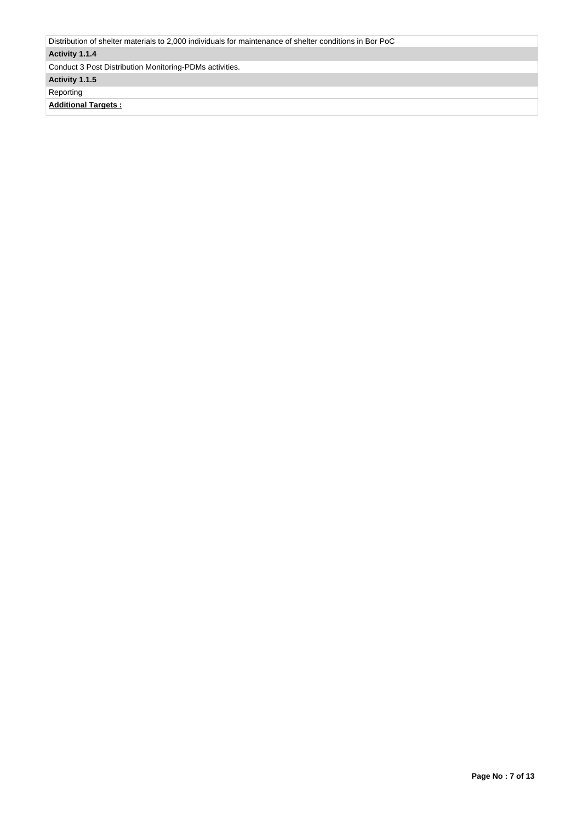| Distribution of shelter materials to 2,000 individuals for maintenance of shelter conditions in Bor PoC |
|---------------------------------------------------------------------------------------------------------|
| Activity 1.1.4                                                                                          |
| Conduct 3 Post Distribution Monitoring-PDMs activities.                                                 |
| Activity 1.1.5                                                                                          |
| Reporting                                                                                               |
| <b>Additional Targets:</b>                                                                              |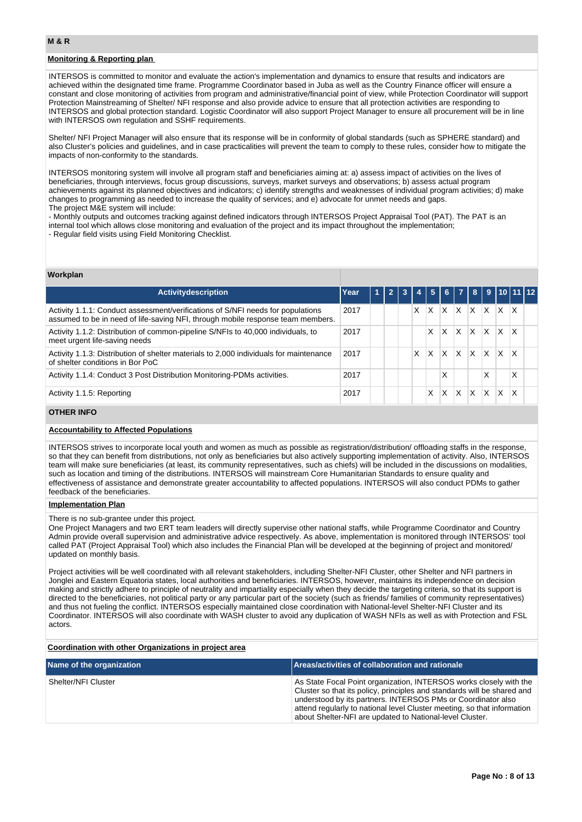## **Monitoring & Reporting plan**

INTERSOS is committed to monitor and evaluate the action's implementation and dynamics to ensure that results and indicators are achieved within the designated time frame. Programme Coordinator based in Juba as well as the Country Finance officer will ensure a constant and close monitoring of activities from program and administrative/financial point of view, while Protection Coordinator will support Protection Mainstreaming of Shelter/ NFI response and also provide advice to ensure that all protection activities are responding to INTERSOS and global protection standard. Logistic Coordinator will also support Project Manager to ensure all procurement will be in line with INTERSOS own regulation and SSHF requirements.

Shelter/ NFI Project Manager will also ensure that its response will be in conformity of global standards (such as SPHERE standard) and also Cluster's policies and guidelines, and in case practicalities will prevent the team to comply to these rules, consider how to mitigate the impacts of non-conformity to the standards.

INTERSOS monitoring system will involve all program staff and beneficiaries aiming at: a) assess impact of activities on the lives of beneficiaries, through interviews, focus group discussions, surveys, market surveys and observations; b) assess actual program achievements against its planned objectives and indicators; c) identify strengths and weaknesses of individual program activities; d) make changes to programming as needed to increase the quality of services; and e) advocate for unmet needs and gaps. The project M&E system will include:

- Monthly outputs and outcomes tracking against defined indicators through INTERSOS Project Appraisal Tool (PAT). The PAT is an internal tool which allows close monitoring and evaluation of the project and its impact throughout the implementation; - Regular field visits using Field Monitoring Checklist.

#### **Workplan**

| <b>Activitydescription</b>                                                                                                                                         | Year | $\blacktriangleleft$ | $\overline{2}$ | 3 |   | <b>USIN</b>  |              | $6 \mid 7$ |          |              |    | 8 9 10 11 12 |  |
|--------------------------------------------------------------------------------------------------------------------------------------------------------------------|------|----------------------|----------------|---|---|--------------|--------------|------------|----------|--------------|----|--------------|--|
| Activity 1.1.1: Conduct assessment/verifications of S/NFI needs for populations<br>assumed to be in need of life-saving NFI, through mobile response team members. | 2017 |                      |                |   | x | X            | $\times$     | IX.        | <b>X</b> | ΙX           | X. | X            |  |
| Activity 1.1.2: Distribution of common-pipeline S/NFIs to 40,000 individuals, to<br>meet urgent life-saving needs                                                  | 2017 |                      |                |   |   | X            | ΙX.          | <b>X</b>   | <b>X</b> | $\mathsf{X}$ | X  | $\mathsf{x}$ |  |
| Activity 1.1.3: Distribution of shelter materials to 2,000 individuals for maintenance<br>of shelter conditions in Bor PoC                                         | 2017 |                      |                |   | X | $\mathsf{X}$ | ΙX.          | <b>X</b>   | X.       | X            | X  | x            |  |
| Activity 1.1.4: Conduct 3 Post Distribution Monitoring-PDMs activities.                                                                                            | 2017 |                      |                |   |   |              | Χ            |            |          | X            |    | X            |  |
| Activity 1.1.5: Reporting                                                                                                                                          | 2017 |                      |                |   |   | x            | $\mathsf{x}$ | X          | IX.      | $\mathsf{X}$ | X. | x            |  |

## **OTHER INFO**

#### **Accountability to Affected Populations**

INTERSOS strives to incorporate local youth and women as much as possible as registration/distribution/ offloading staffs in the response, so that they can benefit from distributions, not only as beneficiaries but also actively supporting implementation of activity. Also, INTERSOS team will make sure beneficiaries (at least, its community representatives, such as chiefs) will be included in the discussions on modalities, such as location and timing of the distributions. INTERSOS will mainstream Core Humanitarian Standards to ensure quality and effectiveness of assistance and demonstrate greater accountability to affected populations. INTERSOS will also conduct PDMs to gather feedback of the beneficiaries.

#### **Implementation Plan**

There is no sub-grantee under this project.

One Project Managers and two ERT team leaders will directly supervise other national staffs, while Programme Coordinator and Country Admin provide overall supervision and administrative advice respectively. As above, implementation is monitored through INTERSOS' tool called PAT (Project Appraisal Tool) which also includes the Financial Plan will be developed at the beginning of project and monitored/ updated on monthly basis.

Project activities will be well coordinated with all relevant stakeholders, including Shelter-NFI Cluster, other Shelter and NFI partners in Jonglei and Eastern Equatoria states, local authorities and beneficiaries. INTERSOS, however, maintains its independence on decision making and strictly adhere to principle of neutrality and impartiality especially when they decide the targeting criteria, so that its support is directed to the beneficiaries, not political party or any particular part of the society (such as friends/ families of community representatives) and thus not fueling the conflict. INTERSOS especially maintained close coordination with National-level Shelter-NFI Cluster and its Coordinator. INTERSOS will also coordinate with WASH cluster to avoid any duplication of WASH NFIs as well as with Protection and FSL actors.

#### **Coordination with other Organizations in project area**

| Name of the organization | Areas/activities of collaboration and rationale                                                                                                                                                                                                                                                                                                      |
|--------------------------|------------------------------------------------------------------------------------------------------------------------------------------------------------------------------------------------------------------------------------------------------------------------------------------------------------------------------------------------------|
| Shelter/NFI Cluster      | As State Focal Point organization, INTERSOS works closely with the<br>Cluster so that its policy, principles and standards will be shared and<br>understood by its partners. INTERSOS PMs or Coordinator also<br>attend regularly to national level Cluster meeting, so that information<br>about Shelter-NFI are updated to National-level Cluster. |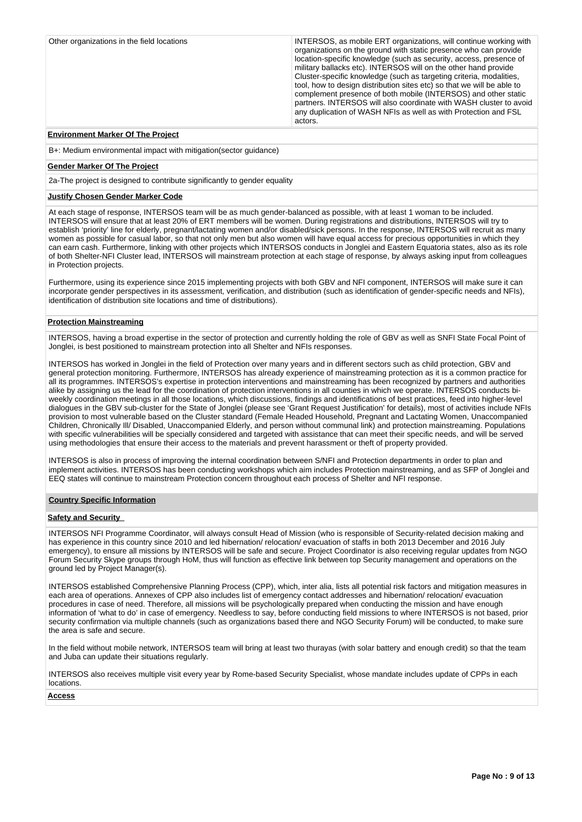| Other organizations in the field locations | INTERSOS, as mobile ERT organizations, will continue working with<br>organizations on the ground with static presence who can provide<br>location-specific knowledge (such as security, access, presence of<br>military ballacks etc). INTERSOS will on the other hand provide<br>Cluster-specific knowledge (such as targeting criteria, modalities,<br>tool, how to design distribution sites etc) so that we will be able to<br>complement presence of both mobile (INTERSOS) and other static<br>partners. INTERSOS will also coordinate with WASH cluster to avoid<br>any duplication of WASH NFIs as well as with Protection and FSL<br>actors. |
|--------------------------------------------|-------------------------------------------------------------------------------------------------------------------------------------------------------------------------------------------------------------------------------------------------------------------------------------------------------------------------------------------------------------------------------------------------------------------------------------------------------------------------------------------------------------------------------------------------------------------------------------------------------------------------------------------------------|
| _ _ _ _ _ _ _ _ _ _ _ _ _ _ _ _            |                                                                                                                                                                                                                                                                                                                                                                                                                                                                                                                                                                                                                                                       |

#### **Environment Marker Of The Project**

B+: Medium environmental impact with mitigation(sector guidance)

#### **Gender Marker Of The Project**

2a-The project is designed to contribute significantly to gender equality

## **Justify Chosen Gender Marker Code**

At each stage of response, INTERSOS team will be as much gender-balanced as possible, with at least 1 woman to be included. INTERSOS will ensure that at least 20% of ERT members will be women. During registrations and distributions, INTERSOS will try to establish 'priority' line for elderly, pregnant/lactating women and/or disabled/sick persons. In the response, INTERSOS will recruit as many women as possible for casual labor, so that not only men but also women will have equal access for precious opportunities in which they can earn cash. Furthermore, linking with other projects which INTERSOS conducts in Jonglei and Eastern Equatoria states, also as its role of both Shelter-NFI Cluster lead, INTERSOS will mainstream protection at each stage of response, by always asking input from colleagues in Protection projects.

Furthermore, using its experience since 2015 implementing projects with both GBV and NFI component, INTERSOS will make sure it can incorporate gender perspectives in its assessment, verification, and distribution (such as identification of gender-specific needs and NFIs), identification of distribution site locations and time of distributions).

#### **Protection Mainstreaming**

INTERSOS, having a broad expertise in the sector of protection and currently holding the role of GBV as well as SNFI State Focal Point of Jonglei, is best positioned to mainstream protection into all Shelter and NFIs responses.

INTERSOS has worked in Jonglei in the field of Protection over many years and in different sectors such as child protection, GBV and general protection monitoring. Furthermore, INTERSOS has already experience of mainstreaming protection as it is a common practice for all its programmes. INTERSOS's expertise in protection interventions and mainstreaming has been recognized by partners and authorities alike by assigning us the lead for the coordination of protection interventions in all counties in which we operate. INTERSOS conducts biweekly coordination meetings in all those locations, which discussions, findings and identifications of best practices, feed into higher-level dialogues in the GBV sub-cluster for the State of Jonglei (please see 'Grant Request Justification' for details), most of activities include NFIs provision to most vulnerable based on the Cluster standard (Female Headed Household, Pregnant and Lactating Women, Unaccompanied Children, Chronically Ill/ Disabled, Unaccompanied Elderly, and person without communal link) and protection mainstreaming. Populations with specific vulnerabilities will be specially considered and targeted with assistance that can meet their specific needs, and will be served using methodologies that ensure their access to the materials and prevent harassment or theft of property provided.

INTERSOS is also in process of improving the internal coordination between S/NFI and Protection departments in order to plan and implement activities. INTERSOS has been conducting workshops which aim includes Protection mainstreaming, and as SFP of Jonglei and EEQ states will continue to mainstream Protection concern throughout each process of Shelter and NFI response.

#### **Country Specific Information**

## **Safety and Security**

INTERSOS NFI Programme Coordinator, will always consult Head of Mission (who is responsible of Security-related decision making and has experience in this country since 2010 and led hibernation/ relocation/ evacuation of staffs in both 2013 December and 2016 July emergency), to ensure all missions by INTERSOS will be safe and secure. Project Coordinator is also receiving regular updates from NGO Forum Security Skype groups through HoM, thus will function as effective link between top Security management and operations on the ground led by Project Manager(s).

INTERSOS established Comprehensive Planning Process (CPP), which, inter alia, lists all potential risk factors and mitigation measures in each area of operations. Annexes of CPP also includes list of emergency contact addresses and hibernation/ relocation/ evacuation procedures in case of need. Therefore, all missions will be psychologically prepared when conducting the mission and have enough information of 'what to do' in case of emergency. Needless to say, before conducting field missions to where INTERSOS is not based, prior security confirmation via multiple channels (such as organizations based there and NGO Security Forum) will be conducted, to make sure the area is safe and secure.

In the field without mobile network, INTERSOS team will bring at least two thurayas (with solar battery and enough credit) so that the team and Juba can update their situations regularly.

INTERSOS also receives multiple visit every year by Rome-based Security Specialist, whose mandate includes update of CPPs in each locations.

#### **Access**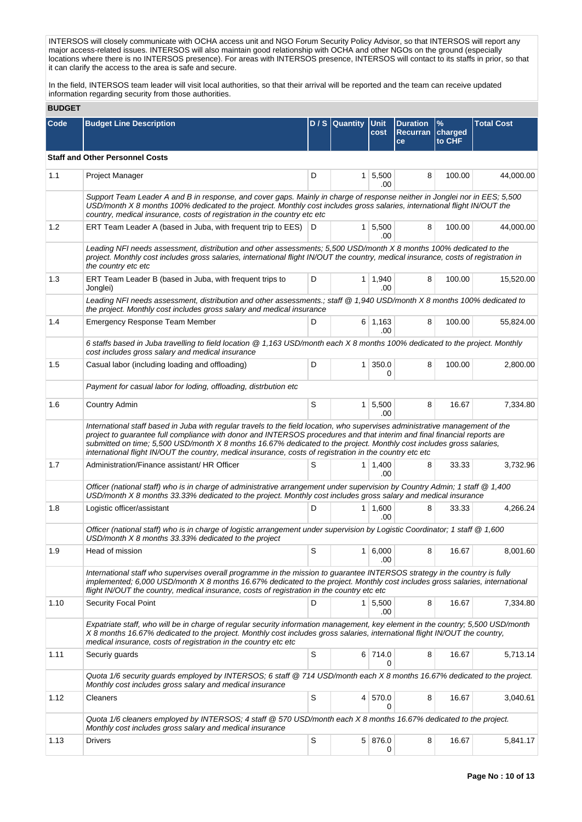INTERSOS will closely communicate with OCHA access unit and NGO Forum Security Policy Advisor, so that INTERSOS will report any major access-related issues. INTERSOS will also maintain good relationship with OCHA and other NGOs on the ground (especially locations where there is no INTERSOS presence). For areas with INTERSOS presence, INTERSOS will contact to its staffs in prior, so that it can clarify the access to the area is safe and secure.

In the field, INTERSOS team leader will visit local authorities, so that their arrival will be reported and the team can receive updated information regarding security from those authorities.

| <b>BUDGET</b> |  |
|---------------|--|
|               |  |

| Code | <b>Budget Line Description</b>                                                                                                                                                                                                                                                                                                                                                                                                                                                                |   | $D / S$ Quantity | <b>Unit</b><br>cost   | <b>Duration</b><br><b>Recurran</b><br>ce | $\frac{9}{6}$<br>charged<br>to CHF | <b>Total Cost</b> |
|------|-----------------------------------------------------------------------------------------------------------------------------------------------------------------------------------------------------------------------------------------------------------------------------------------------------------------------------------------------------------------------------------------------------------------------------------------------------------------------------------------------|---|------------------|-----------------------|------------------------------------------|------------------------------------|-------------------|
|      | <b>Staff and Other Personnel Costs</b>                                                                                                                                                                                                                                                                                                                                                                                                                                                        |   |                  |                       |                                          |                                    |                   |
| 1.1  | Project Manager                                                                                                                                                                                                                                                                                                                                                                                                                                                                               | D |                  | $1 \, 5,500$<br>.00   | 8                                        | 100.00                             | 44,000.00         |
|      | Support Team Leader A and B in response, and cover gaps. Mainly in charge of response neither in Jonglei nor in EES; 5,500<br>USD/month X 8 months 100% dedicated to the project. Monthly cost includes gross salaries, international flight IN/OUT the<br>country, medical insurance, costs of registration in the country etc etc                                                                                                                                                           |   |                  |                       |                                          |                                    |                   |
| 1.2  | ERT Team Leader A (based in Juba, with frequent trip to EES) D                                                                                                                                                                                                                                                                                                                                                                                                                                |   |                  | 1   5,500<br>.00      | 8                                        | 100.00                             | 44,000.00         |
|      | Leading NFI needs assessment, distribution and other assessments; 5,500 USD/month X 8 months 100% dedicated to the<br>project. Monthly cost includes gross salaries, international flight IN/OUT the country, medical insurance, costs of registration in<br>the country etc etc                                                                                                                                                                                                              |   |                  |                       |                                          |                                    |                   |
| 1.3  | ERT Team Leader B (based in Juba, with frequent trips to<br>Jonglei)                                                                                                                                                                                                                                                                                                                                                                                                                          | D |                  | $1 \mid 1,940$<br>.00 | 8                                        | 100.00                             | 15,520.00         |
|      | Leading NFI needs assessment, distribution and other assessments.; staff @ 1,940 USD/month X 8 months 100% dedicated to<br>the project. Monthly cost includes gross salary and medical insurance                                                                                                                                                                                                                                                                                              |   |                  |                       |                                          |                                    |                   |
| 1.4  | Emergency Response Team Member                                                                                                                                                                                                                                                                                                                                                                                                                                                                | D |                  | 6 1,163<br>.00        | 8                                        | 100.00                             | 55,824.00         |
|      | 6 staffs based in Juba travelling to field location @ 1,163 USD/month each X 8 months 100% dedicated to the project. Monthly<br>cost includes gross salary and medical insurance                                                                                                                                                                                                                                                                                                              |   |                  |                       |                                          |                                    |                   |
| 1.5  | Casual labor (including loading and offloading)                                                                                                                                                                                                                                                                                                                                                                                                                                               | D | 1 <sup>1</sup>   | 350.0<br>0            | 8                                        | 100.00                             | 2,800.00          |
|      | Payment for casual labor for loding, offloading, distrbution etc                                                                                                                                                                                                                                                                                                                                                                                                                              |   |                  |                       |                                          |                                    |                   |
| 1.6  | Country Admin                                                                                                                                                                                                                                                                                                                                                                                                                                                                                 | S |                  | 1 5,500<br>.00        | 8                                        | 16.67                              | 7,334.80          |
|      | International staff based in Juba with regular travels to the field location, who supervises administrative management of the<br>project to guarantee full compliance with donor and INTERSOS procedures and that interim and final financial reports are<br>submitted on time; 5,500 USD/month X 8 months 16.67% dedicated to the project. Monthly cost includes gross salaries,<br>international flight IN/OUT the country, medical insurance, costs of registration in the country etc etc |   |                  |                       |                                          |                                    |                   |
| 1.7  | Administration/Finance assistant/ HR Officer                                                                                                                                                                                                                                                                                                                                                                                                                                                  | S |                  | $1 \mid 1,400$<br>.00 | 8                                        | 33.33                              | 3,732.96          |
|      | Officer (national staff) who is in charge of administrative arrangement under supervision by Country Admin; 1 staff @ 1,400<br>USD/month X 8 months 33.33% dedicated to the project. Monthly cost includes gross salary and medical insurance                                                                                                                                                                                                                                                 |   |                  |                       |                                          |                                    |                   |
| 1.8  | Logistic officer/assistant                                                                                                                                                                                                                                                                                                                                                                                                                                                                    | D |                  | $1 \mid 1,600$<br>.00 | 8                                        | 33.33                              | 4,266.24          |
|      | Officer (national staff) who is in charge of logistic arrangement under supervision by Logistic Coordinator; 1 staff @ 1,600<br>USD/month X 8 months 33.33% dedicated to the project                                                                                                                                                                                                                                                                                                          |   |                  |                       |                                          |                                    |                   |
| 1.9  | Head of mission                                                                                                                                                                                                                                                                                                                                                                                                                                                                               | s |                  | 1 6,000 <br>.00       | 8 <sup>1</sup>                           | 16.67                              | 8,001.60          |
|      | International staff who supervises overall programme in the mission to guarantee INTERSOS strategy in the country is fully<br>implemented; 6,000 USD/month X 8 months 16.67% dedicated to the project. Monthly cost includes gross salaries, international<br>flight IN/OUT the country, medical insurance, costs of registration in the country etc etc                                                                                                                                      |   |                  |                       |                                          |                                    |                   |
| 1.10 | <b>Security Focal Point</b>                                                                                                                                                                                                                                                                                                                                                                                                                                                                   | D |                  | 1 5,500<br>.00        | 8                                        | 16.67                              | 7,334.80          |
|      | Expatriate staff, who will be in charge of regular security information management, key element in the country; 5,500 USD/month<br>X 8 months 16.67% dedicated to the project. Monthly cost includes gross salaries, international flight IN/OUT the country,<br>medical insurance, costs of registration in the country etc etc                                                                                                                                                              |   |                  |                       |                                          |                                    |                   |
| 1.11 | Securiy guards                                                                                                                                                                                                                                                                                                                                                                                                                                                                                | S |                  | 6 714.0               | 8                                        | 16.67                              | 5,713.14          |
|      | Quota 1/6 security guards employed by INTERSOS; 6 staff @ 714 USD/month each X 8 months 16.67% dedicated to the project.<br>Monthly cost includes gross salary and medical insurance                                                                                                                                                                                                                                                                                                          |   |                  |                       |                                          |                                    |                   |
| 1.12 | Cleaners                                                                                                                                                                                                                                                                                                                                                                                                                                                                                      | S |                  | 4 570.0<br>0          | 8                                        | 16.67                              | 3,040.61          |
|      | Quota 1/6 cleaners employed by INTERSOS; 4 staff @ 570 USD/month each X 8 months 16.67% dedicated to the project.<br>Monthly cost includes gross salary and medical insurance                                                                                                                                                                                                                                                                                                                 |   |                  |                       |                                          |                                    |                   |
| 1.13 | <b>Drivers</b>                                                                                                                                                                                                                                                                                                                                                                                                                                                                                | S |                  | 5 876.0<br>0          | 8                                        | 16.67                              | 5,841.17          |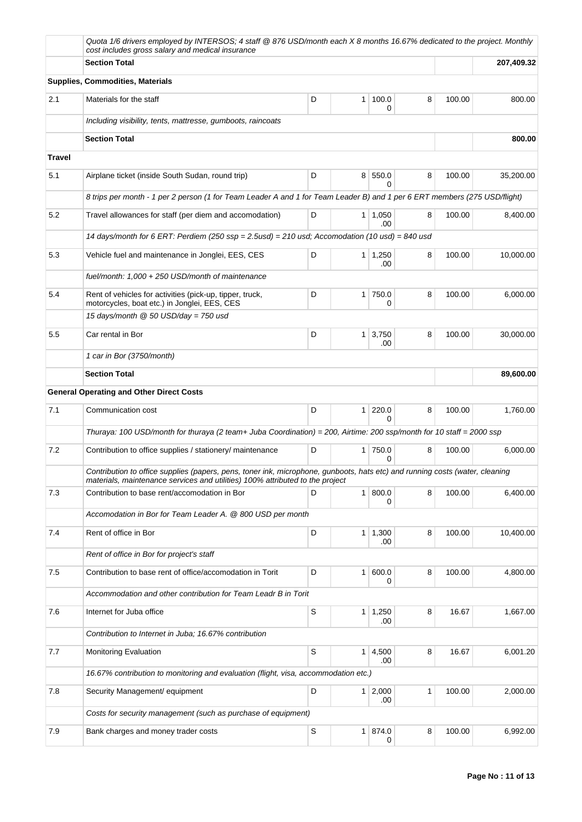|               | Quota 1/6 drivers employed by INTERSOS; 4 staff @ 876 USD/month each X 8 months 16.67% dedicated to the project. Monthly<br>cost includes gross salary and medical insurance                                  |   |                |                       |   |        |           |
|---------------|---------------------------------------------------------------------------------------------------------------------------------------------------------------------------------------------------------------|---|----------------|-----------------------|---|--------|-----------|
|               | <b>Section Total</b>                                                                                                                                                                                          |   |                | 207,409.32            |   |        |           |
|               | <b>Supplies, Commodities, Materials</b>                                                                                                                                                                       |   |                |                       |   |        |           |
| 2.1           | Materials for the staff                                                                                                                                                                                       | D | 1 <sup>1</sup> | 100.0<br>0            | 8 | 100.00 | 800.00    |
|               | Including visibility, tents, mattresse, gumboots, raincoats                                                                                                                                                   |   |                |                       |   |        |           |
|               | <b>Section Total</b>                                                                                                                                                                                          |   |                |                       |   |        | 800.00    |
| <b>Travel</b> |                                                                                                                                                                                                               |   |                |                       |   |        |           |
| 5.1           | Airplane ticket (inside South Sudan, round trip)                                                                                                                                                              | D |                | 8 550.0               | 8 | 100.00 | 35,200.00 |
|               | 8 trips per month - 1 per 2 person (1 for Team Leader A and 1 for Team Leader B) and 1 per 6 ERT members (275 USD/flight)                                                                                     |   |                |                       |   |        |           |
| 5.2           | Travel allowances for staff (per diem and accomodation)                                                                                                                                                       | D |                | $1 \mid 1,050$<br>.00 | 8 | 100.00 | 8,400.00  |
|               | 14 days/month for 6 ERT: Perdiem (250 $ssp = 2.5$ usd) = 210 usd; Accomodation (10 usd) = 840 usd                                                                                                             |   |                |                       |   |        |           |
| 5.3           | Vehicle fuel and maintenance in Jonglei, EES, CES                                                                                                                                                             | D | 1 <sup>1</sup> | 1,250<br>.00          | 8 | 100.00 | 10.000.00 |
|               | fuel/month: 1,000 + 250 USD/month of maintenance                                                                                                                                                              |   |                |                       |   |        |           |
| 5.4           | Rent of vehicles for activities (pick-up, tipper, truck,<br>motorcycles, boat etc.) in Jonglei, EES, CES                                                                                                      | D | 1 <sup>1</sup> | 750.0<br>0            | 8 | 100.00 | 6,000.00  |
|               | 15 days/month $@$ 50 USD/day = 750 usd                                                                                                                                                                        |   |                |                       |   |        |           |
| 5.5           | Car rental in Bor                                                                                                                                                                                             | D | 1 <sup>1</sup> | 3,750<br>.00          | 8 | 100.00 | 30,000.00 |
|               | 1 car in Bor (3750/month)                                                                                                                                                                                     |   |                |                       |   |        |           |
|               | <b>Section Total</b>                                                                                                                                                                                          |   |                |                       |   |        | 89,600.00 |
|               | <b>General Operating and Other Direct Costs</b>                                                                                                                                                               |   |                |                       |   |        |           |
| 7.1           | Communication cost                                                                                                                                                                                            | D | 1 <sup>1</sup> | 220.0<br><sup>0</sup> | 8 | 100.00 | 1,760.00  |
|               | Thuraya: 100 USD/month for thuraya (2 team+ Juba Coordination) = 200, Airtime: 200 ssp/month for 10 staff = 2000 ssp                                                                                          |   |                |                       |   |        |           |
| 7.2           | Contribution to office supplies / stationery/ maintenance                                                                                                                                                     | D | 1 <sup>1</sup> | 750.0<br>$\Omega$     | 8 | 100.00 | 6,000.00  |
|               | Contribution to office supplies (papers, pens, toner ink, microphone, gunboots, hats etc) and running costs (water, cleaning<br>materials, maintenance services and utilities) 100% attributed to the project |   |                |                       |   |        |           |
| 7.3           | Contribution to base rent/accomodation in Bor                                                                                                                                                                 | D |                | 1 800.0<br>0          | 8 | 100.00 | 6,400.00  |
|               | Accomodation in Bor for Team Leader A. @ 800 USD per month                                                                                                                                                    |   |                |                       |   |        |           |
| 7.4           | Rent of office in Bor                                                                                                                                                                                         | D |                | $1 \mid 1,300$<br>.00 | 8 | 100.00 | 10,400.00 |
|               | Rent of office in Bor for project's staff                                                                                                                                                                     |   |                |                       |   |        |           |
| 7.5           | Contribution to base rent of office/accomodation in Torit                                                                                                                                                     | D | 1 <sup>1</sup> | 600.0<br>0            | 8 | 100.00 | 4,800.00  |
|               | Accommodation and other contribution for Team Leadr B in Torit                                                                                                                                                |   |                |                       |   |        |           |
| 7.6           | Internet for Juba office                                                                                                                                                                                      | S | 1 <sup>1</sup> | 1,250<br>.00          | 8 | 16.67  | 1,667.00  |
|               | Contribution to Internet in Juba; 16.67% contribution                                                                                                                                                         |   |                |                       |   |        |           |
| 7.7           | <b>Monitoring Evaluation</b>                                                                                                                                                                                  | S |                | $1 \mid 4,500$<br>.00 | 8 | 16.67  | 6,001.20  |
|               | 16.67% contribution to monitoring and evaluation (flight, visa, accommodation etc.)                                                                                                                           |   |                |                       |   |        |           |
| 7.8           | Security Management/ equipment                                                                                                                                                                                | D |                | $1 \mid 2,000$<br>.00 | 1 | 100.00 | 2,000.00  |
|               | Costs for security management (such as purchase of equipment)                                                                                                                                                 |   |                |                       |   |        |           |
| 7.9           | Bank charges and money trader costs                                                                                                                                                                           | S |                | 1 874.0<br>0          | 8 | 100.00 | 6,992.00  |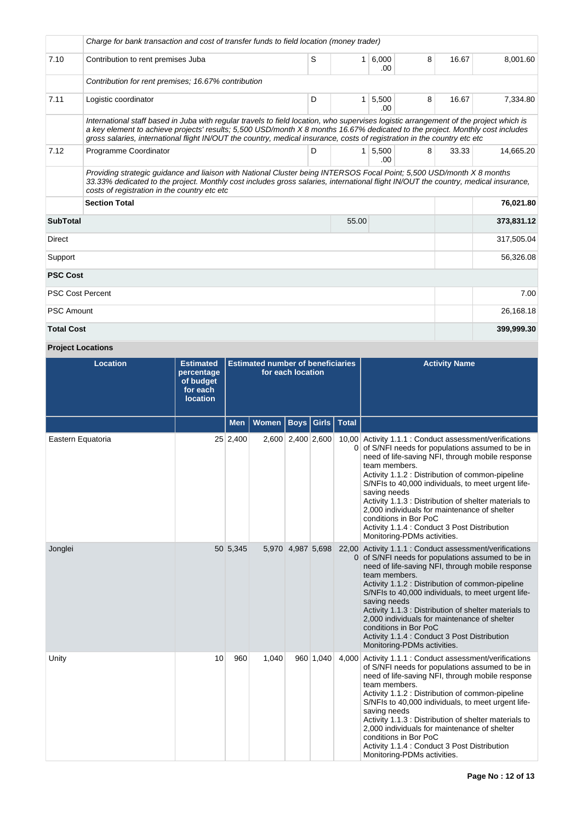|                                                                                                                                                                                                                                                                                                             | Charge for bank transaction and cost of transfer funds to field location (money trader)                                                                                                                                                                                                                                                                                                            |   |                |                        |   |       |            |  |  |
|-------------------------------------------------------------------------------------------------------------------------------------------------------------------------------------------------------------------------------------------------------------------------------------------------------------|----------------------------------------------------------------------------------------------------------------------------------------------------------------------------------------------------------------------------------------------------------------------------------------------------------------------------------------------------------------------------------------------------|---|----------------|------------------------|---|-------|------------|--|--|
| 7.10                                                                                                                                                                                                                                                                                                        | Contribution to rent premises Juba                                                                                                                                                                                                                                                                                                                                                                 | S | 1 <sup>1</sup> | 6,000<br>.00           | 8 | 16.67 | 8,001.60   |  |  |
|                                                                                                                                                                                                                                                                                                             | Contribution for rent premises: 16.67% contribution                                                                                                                                                                                                                                                                                                                                                |   |                |                        |   |       |            |  |  |
| 7.11                                                                                                                                                                                                                                                                                                        | Logistic coordinator                                                                                                                                                                                                                                                                                                                                                                               | D |                | $1 \mid 5,500$<br>.00. | 8 | 16.67 | 7,334.80   |  |  |
|                                                                                                                                                                                                                                                                                                             | International staff based in Juba with regular travels to field location, who supervises logistic arrangement of the project which is<br>a key element to achieve projects' results; 5,500 USD/month X 8 months 16.67% dedicated to the project. Monthly cost includes<br>gross salaries, international flight IN/OUT the country, medical insurance, costs of registration in the country etc etc |   |                |                        |   |       |            |  |  |
| 7.12                                                                                                                                                                                                                                                                                                        | Programme Coordinator                                                                                                                                                                                                                                                                                                                                                                              | D |                | 1 5,500<br>$00 -$      | 8 | 33.33 | 14.665.20  |  |  |
| Providing strategic quidance and liaison with National Cluster being INTERSOS Focal Point; 5,500 USD/month X 8 months<br>33.33% dedicated to the project. Monthly cost includes gross salaries, international flight IN/OUT the country, medical insurance,<br>costs of registration in the country etc etc |                                                                                                                                                                                                                                                                                                                                                                                                    |   |                |                        |   |       |            |  |  |
|                                                                                                                                                                                                                                                                                                             | <b>Section Total</b><br>76,021.80                                                                                                                                                                                                                                                                                                                                                                  |   |                |                        |   |       |            |  |  |
| <b>SubTotal</b>                                                                                                                                                                                                                                                                                             |                                                                                                                                                                                                                                                                                                                                                                                                    |   | 55.00          |                        |   |       | 373,831.12 |  |  |
| <b>Direct</b>                                                                                                                                                                                                                                                                                               |                                                                                                                                                                                                                                                                                                                                                                                                    |   |                |                        |   |       | 317,505.04 |  |  |
| Support                                                                                                                                                                                                                                                                                                     |                                                                                                                                                                                                                                                                                                                                                                                                    |   | 56,326.08      |                        |   |       |            |  |  |
| <b>PSC Cost</b>                                                                                                                                                                                                                                                                                             |                                                                                                                                                                                                                                                                                                                                                                                                    |   |                |                        |   |       |            |  |  |
| <b>PSC Cost Percent</b>                                                                                                                                                                                                                                                                                     |                                                                                                                                                                                                                                                                                                                                                                                                    |   |                |                        |   |       | 7.00       |  |  |
| <b>PSC Amount</b>                                                                                                                                                                                                                                                                                           |                                                                                                                                                                                                                                                                                                                                                                                                    |   |                |                        |   |       | 26,168.18  |  |  |
| <b>Total Cost</b>                                                                                                                                                                                                                                                                                           |                                                                                                                                                                                                                                                                                                                                                                                                    |   |                |                        |   |       | 399,999.30 |  |  |

# **Project Locations**

| <b>Location</b>   | <b>Estimated</b><br>percentage<br>of budget<br>for each<br><b>location</b> | <b>Estimated number of beneficiaries</b><br>for each location |              |                   |           |               | <b>Activity Name</b>                                                                                                                                                                                                                                                                                                                                                                                                                                                                                                         |
|-------------------|----------------------------------------------------------------------------|---------------------------------------------------------------|--------------|-------------------|-----------|---------------|------------------------------------------------------------------------------------------------------------------------------------------------------------------------------------------------------------------------------------------------------------------------------------------------------------------------------------------------------------------------------------------------------------------------------------------------------------------------------------------------------------------------------|
|                   |                                                                            | Men                                                           | <b>Women</b> | Boys              |           | Girls   Total |                                                                                                                                                                                                                                                                                                                                                                                                                                                                                                                              |
| Eastern Equatoria |                                                                            | 25 2,400                                                      |              | 2,600 2,400 2,600 |           |               | 10,00 Activity 1.1.1 : Conduct assessment/verifications<br>0 of S/NFI needs for populations assumed to be in<br>need of life-saving NFI, through mobile response<br>team members.<br>Activity 1.1.2 : Distribution of common-pipeline<br>S/NFIs to 40,000 individuals, to meet urgent life-<br>saving needs<br>Activity 1.1.3 : Distribution of shelter materials to<br>2,000 individuals for maintenance of shelter<br>conditions in Bor PoC<br>Activity 1.1.4 : Conduct 3 Post Distribution<br>Monitoring-PDMs activities. |
| Jonglei           |                                                                            | 50 5,345                                                      |              | 5,970 4,987 5,698 |           |               | 22,00 Activity 1.1.1 : Conduct assessment/verifications<br>0 of S/NFI needs for populations assumed to be in<br>need of life-saving NFI, through mobile response<br>team members.<br>Activity 1.1.2 : Distribution of common-pipeline<br>S/NFIs to 40,000 individuals, to meet urgent life-<br>saving needs<br>Activity 1.1.3 : Distribution of shelter materials to<br>2,000 individuals for maintenance of shelter<br>conditions in Bor PoC<br>Activity 1.1.4 : Conduct 3 Post Distribution<br>Monitoring-PDMs activities. |
| Unity             | 10                                                                         | 960                                                           | 1,040        |                   | 960 1,040 |               | 4,000 Activity 1.1.1 : Conduct assessment/verifications<br>of S/NFI needs for populations assumed to be in<br>need of life-saving NFI, through mobile response<br>team members.<br>Activity 1.1.2 : Distribution of common-pipeline<br>S/NFIs to 40,000 individuals, to meet urgent life-<br>saving needs<br>Activity 1.1.3 : Distribution of shelter materials to<br>2,000 individuals for maintenance of shelter<br>conditions in Bor PoC<br>Activity 1.1.4 : Conduct 3 Post Distribution<br>Monitoring-PDMs activities.   |